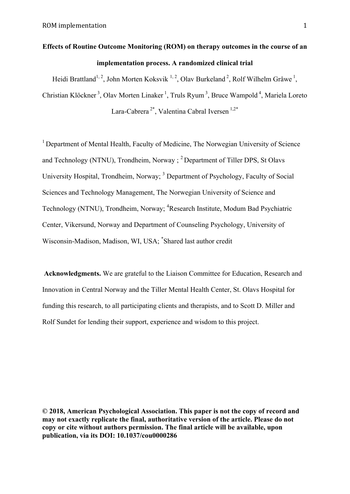# **Effects of Routine Outcome Monitoring (ROM) on therapy outcomes in the course of an implementation process. A randomized clinical trial**

Heidi Brattland<sup>1, 2</sup>, John Morten Koksvik<sup>1, 2</sup>, Olav Burkeland<sup>2</sup>, Rolf Wilhelm Gråwe<sup>1</sup>,

Christian Klöckner<sup>3</sup>, Olav Morten Linaker<sup>1</sup>, Truls Ryum<sup>3</sup>, Bruce Wampold<sup>4</sup>, Mariela Loreto Lara-Cabrera<sup>2\*</sup>, Valentina Cabral Iversen<sup>1,2\*</sup>

<sup>1</sup> Department of Mental Health, Faculty of Medicine, The Norwegian University of Science and Technology (NTNU), Trondheim, Norway  $\frac{1}{2}$  Department of Tiller DPS, St Olavs University Hospital, Trondheim, Norway; <sup>3</sup> Department of Psychology, Faculty of Social Sciences and Technology Management, The Norwegian University of Science and Technology (NTNU), Trondheim, Norway; <sup>4</sup>Research Institute, Modum Bad Psychiatric Center, Vikersund, Norway and Department of Counseling Psychology, University of Wisconsin-Madison, Madison, WI, USA; \* Shared last author credit

**Acknowledgments.** We are grateful to the Liaison Committee for Education, Research and Innovation in Central Norway and the Tiller Mental Health Center, St. Olavs Hospital for funding this research, to all participating clients and therapists, and to Scott D. Miller and Rolf Sundet for lending their support, experience and wisdom to this project.

**© 2018, American Psychological Association. This paper is not the copy of record and may not exactly replicate the final, authoritative version of the article. Please do not copy or cite without authors permission. The final article will be available, upon publication, via its DOI: 10.1037/cou0000286**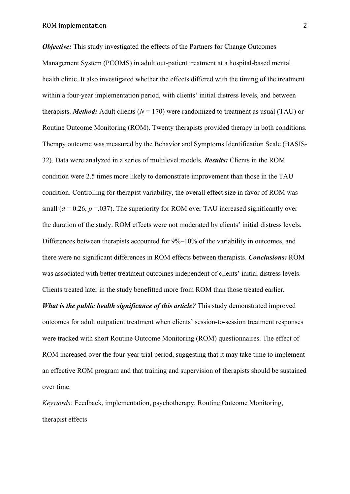*Objective:* This study investigated the effects of the Partners for Change Outcomes Management System (PCOMS) in adult out-patient treatment at a hospital-based mental health clinic. It also investigated whether the effects differed with the timing of the treatment within a four-year implementation period, with clients' initial distress levels, and between therapists. *Method:* Adult clients  $(N = 170)$  were randomized to treatment as usual (TAU) or Routine Outcome Monitoring (ROM). Twenty therapists provided therapy in both conditions. Therapy outcome was measured by the Behavior and Symptoms Identification Scale (BASIS-32). Data were analyzed in a series of multilevel models. *Results:* Clients in the ROM condition were 2.5 times more likely to demonstrate improvement than those in the TAU condition. Controlling for therapist variability, the overall effect size in favor of ROM was small  $(d = 0.26, p = 0.037)$ . The superiority for ROM over TAU increased significantly over the duration of the study. ROM effects were not moderated by clients' initial distress levels. Differences between therapists accounted for 9%–10% of the variability in outcomes, and there were no significant differences in ROM effects between therapists. *Conclusions:* ROM was associated with better treatment outcomes independent of clients' initial distress levels. Clients treated later in the study benefitted more from ROM than those treated earlier.

*What is the public health significance of this article?* This study demonstrated improved outcomes for adult outpatient treatment when clients' session-to-session treatment responses were tracked with short Routine Outcome Monitoring (ROM) questionnaires. The effect of ROM increased over the four-year trial period, suggesting that it may take time to implement an effective ROM program and that training and supervision of therapists should be sustained over time.

*Keywords:* Feedback, implementation, psychotherapy, Routine Outcome Monitoring, therapist effects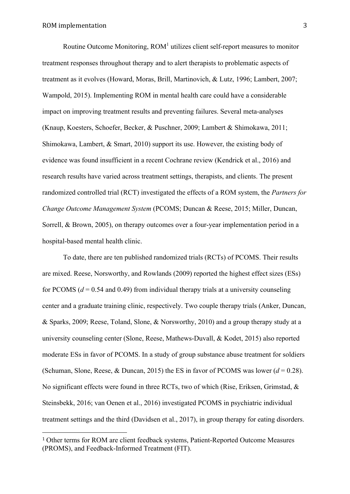Routine Outcome Monitoring,  $ROM<sup>1</sup>$  utilizes client self-report measures to monitor treatment responses throughout therapy and to alert therapists to problematic aspects of treatment as it evolves (Howard, Moras, Brill, Martinovich, & Lutz, 1996; Lambert, 2007; Wampold, 2015). Implementing ROM in mental health care could have a considerable impact on improving treatment results and preventing failures. Several meta-analyses (Knaup, Koesters, Schoefer, Becker, & Puschner, 2009; Lambert & Shimokawa, 2011; Shimokawa, Lambert, & Smart, 2010) support its use. However, the existing body of evidence was found insufficient in a recent Cochrane review (Kendrick et al., 2016) and research results have varied across treatment settings, therapists, and clients. The present randomized controlled trial (RCT) investigated the effects of a ROM system, the *Partners for Change Outcome Management System* (PCOMS; Duncan & Reese, 2015; Miller, Duncan, Sorrell, & Brown, 2005), on therapy outcomes over a four-year implementation period in a hospital-based mental health clinic.

To date, there are ten published randomized trials (RCTs) of PCOMS. Their results are mixed. Reese, Norsworthy, and Rowlands (2009) reported the highest effect sizes (ESs) for PCOMS  $(d = 0.54$  and 0.49) from individual therapy trials at a university counseling center and a graduate training clinic, respectively. Two couple therapy trials (Anker, Duncan, & Sparks, 2009; Reese, Toland, Slone, & Norsworthy, 2010) and a group therapy study at a university counseling center (Slone, Reese, Mathews-Duvall, & Kodet, 2015) also reported moderate ESs in favor of PCOMS. In a study of group substance abuse treatment for soldiers (Schuman, Slone, Reese, & Duncan, 2015) the ES in favor of PCOMS was lower  $(d = 0.28)$ . No significant effects were found in three RCTs, two of which (Rise, Eriksen, Grimstad, & Steinsbekk, 2016; van Oenen et al., 2016) investigated PCOMS in psychiatric individual treatment settings and the third (Davidsen et al., 2017), in group therapy for eating disorders.

 

<sup>1</sup> Other terms for ROM are client feedback systems, Patient-Reported Outcome Measures (PROMS), and Feedback-Informed Treatment (FIT).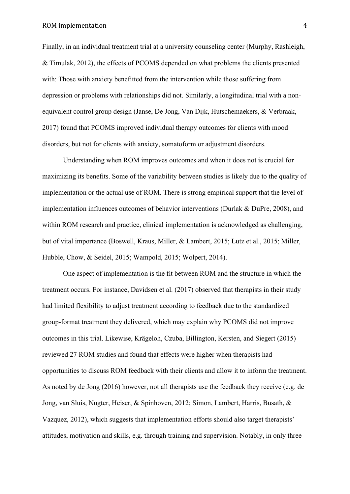Finally, in an individual treatment trial at a university counseling center (Murphy, Rashleigh, & Timulak, 2012), the effects of PCOMS depended on what problems the clients presented with: Those with anxiety benefitted from the intervention while those suffering from depression or problems with relationships did not. Similarly, a longitudinal trial with a nonequivalent control group design (Janse, De Jong, Van Dijk, Hutschemaekers, & Verbraak, 2017) found that PCOMS improved individual therapy outcomes for clients with mood disorders, but not for clients with anxiety, somatoform or adjustment disorders.

Understanding when ROM improves outcomes and when it does not is crucial for maximizing its benefits. Some of the variability between studies is likely due to the quality of implementation or the actual use of ROM. There is strong empirical support that the level of implementation influences outcomes of behavior interventions (Durlak & DuPre, 2008), and within ROM research and practice, clinical implementation is acknowledged as challenging, but of vital importance (Boswell, Kraus, Miller, & Lambert, 2015; Lutz et al., 2015; Miller, Hubble, Chow, & Seidel, 2015; Wampold, 2015; Wolpert, 2014).

One aspect of implementation is the fit between ROM and the structure in which the treatment occurs. For instance, Davidsen et al. (2017) observed that therapists in their study had limited flexibility to adjust treatment according to feedback due to the standardized group-format treatment they delivered, which may explain why PCOMS did not improve outcomes in this trial. Likewise, Krägeloh, Czuba, Billington, Kersten, and Siegert (2015) reviewed 27 ROM studies and found that effects were higher when therapists had opportunities to discuss ROM feedback with their clients and allow it to inform the treatment. As noted by de Jong (2016) however, not all therapists use the feedback they receive (e.g. de Jong, van Sluis, Nugter, Heiser, & Spinhoven, 2012; Simon, Lambert, Harris, Busath, & Vazquez, 2012), which suggests that implementation efforts should also target therapists' attitudes, motivation and skills, e.g. through training and supervision. Notably, in only three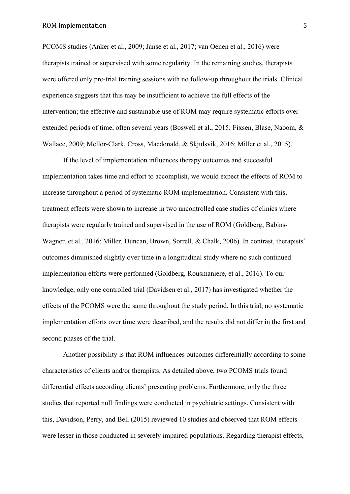PCOMS studies (Anker et al., 2009; Janse et al., 2017; van Oenen et al., 2016) were therapists trained or supervised with some regularity. In the remaining studies, therapists were offered only pre-trial training sessions with no follow-up throughout the trials. Clinical experience suggests that this may be insufficient to achieve the full effects of the intervention; the effective and sustainable use of ROM may require systematic efforts over extended periods of time, often several years (Boswell et al., 2015; Fixsen, Blase, Naoom, & Wallace, 2009; Mellor-Clark, Cross, Macdonald, & Skjulsvik, 2016; Miller et al., 2015).

If the level of implementation influences therapy outcomes and successful implementation takes time and effort to accomplish, we would expect the effects of ROM to increase throughout a period of systematic ROM implementation. Consistent with this, treatment effects were shown to increase in two uncontrolled case studies of clinics where therapists were regularly trained and supervised in the use of ROM (Goldberg, Babins-Wagner, et al., 2016; Miller, Duncan, Brown, Sorrell, & Chalk, 2006). In contrast, therapists' outcomes diminished slightly over time in a longitudinal study where no such continued implementation efforts were performed (Goldberg, Rousmaniere, et al., 2016). To our knowledge, only one controlled trial (Davidsen et al., 2017) has investigated whether the effects of the PCOMS were the same throughout the study period. In this trial, no systematic implementation efforts over time were described, and the results did not differ in the first and second phases of the trial.

Another possibility is that ROM influences outcomes differentially according to some characteristics of clients and/or therapists. As detailed above, two PCOMS trials found differential effects according clients' presenting problems. Furthermore, only the three studies that reported null findings were conducted in psychiatric settings. Consistent with this, Davidson, Perry, and Bell (2015) reviewed 10 studies and observed that ROM effects were lesser in those conducted in severely impaired populations. Regarding therapist effects,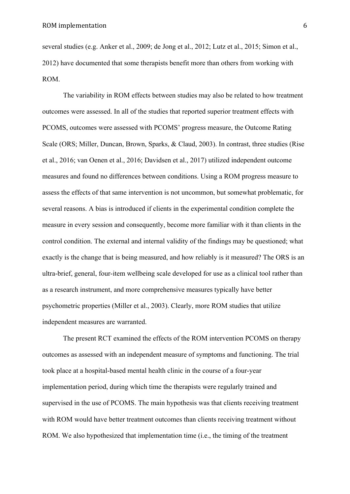several studies (e.g. Anker et al., 2009; de Jong et al., 2012; Lutz et al., 2015; Simon et al., 2012) have documented that some therapists benefit more than others from working with ROM.

The variability in ROM effects between studies may also be related to how treatment outcomes were assessed. In all of the studies that reported superior treatment effects with PCOMS, outcomes were assessed with PCOMS' progress measure, the Outcome Rating Scale (ORS; Miller, Duncan, Brown, Sparks, & Claud, 2003). In contrast, three studies (Rise et al., 2016; van Oenen et al., 2016; Davidsen et al., 2017) utilized independent outcome measures and found no differences between conditions. Using a ROM progress measure to assess the effects of that same intervention is not uncommon, but somewhat problematic, for several reasons. A bias is introduced if clients in the experimental condition complete the measure in every session and consequently, become more familiar with it than clients in the control condition. The external and internal validity of the findings may be questioned; what exactly is the change that is being measured, and how reliably is it measured? The ORS is an ultra-brief, general, four-item wellbeing scale developed for use as a clinical tool rather than as a research instrument, and more comprehensive measures typically have better psychometric properties (Miller et al., 2003). Clearly, more ROM studies that utilize independent measures are warranted.

The present RCT examined the effects of the ROM intervention PCOMS on therapy outcomes as assessed with an independent measure of symptoms and functioning. The trial took place at a hospital-based mental health clinic in the course of a four-year implementation period, during which time the therapists were regularly trained and supervised in the use of PCOMS. The main hypothesis was that clients receiving treatment with ROM would have better treatment outcomes than clients receiving treatment without ROM. We also hypothesized that implementation time (i.e., the timing of the treatment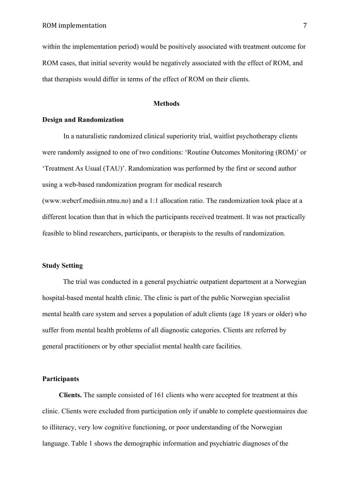within the implementation period) would be positively associated with treatment outcome for ROM cases, that initial severity would be negatively associated with the effect of ROM, and that therapists would differ in terms of the effect of ROM on their clients.

#### **Methods**

# **Design and Randomization**

In a naturalistic randomized clinical superiority trial, waitlist psychotherapy clients were randomly assigned to one of two conditions: 'Routine Outcomes Monitoring (ROM)' or 'Treatment As Usual (TAU)'. Randomization was performed by the first or second author using a web-based randomization program for medical research (www.webcrf.medisin.ntnu.no) and a 1:1 allocation ratio. The randomization took place at a different location than that in which the participants received treatment. It was not practically feasible to blind researchers, participants, or therapists to the results of randomization.

# **Study Setting**

The trial was conducted in a general psychiatric outpatient department at a Norwegian hospital-based mental health clinic. The clinic is part of the public Norwegian specialist mental health care system and serves a population of adult clients (age 18 years or older) who suffer from mental health problems of all diagnostic categories. Clients are referred by general practitioners or by other specialist mental health care facilities.

# **Participants**

**Clients.** The sample consisted of 161 clients who were accepted for treatment at this clinic. Clients were excluded from participation only if unable to complete questionnaires due to illiteracy, very low cognitive functioning, or poor understanding of the Norwegian language. Table 1 shows the demographic information and psychiatric diagnoses of the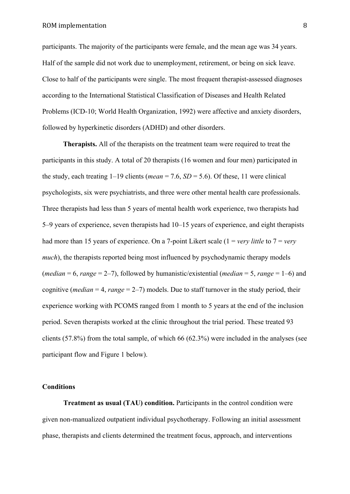participants. The majority of the participants were female, and the mean age was 34 years. Half of the sample did not work due to unemployment, retirement, or being on sick leave. Close to half of the participants were single. The most frequent therapist-assessed diagnoses according to the International Statistical Classification of Diseases and Health Related Problems (ICD-10; World Health Organization, 1992) were affective and anxiety disorders, followed by hyperkinetic disorders (ADHD) and other disorders.

**Therapists.** All of the therapists on the treatment team were required to treat the participants in this study. A total of 20 therapists (16 women and four men) participated in the study, each treating  $1-19$  clients (*mean* = 7.6, *SD* = 5.6). Of these, 11 were clinical psychologists, six were psychiatrists, and three were other mental health care professionals. Three therapists had less than 5 years of mental health work experience, two therapists had 5–9 years of experience, seven therapists had 10–15 years of experience, and eight therapists had more than 15 years of experience. On a 7-point Likert scale (1 = *very little* to 7 = *very much*), the therapists reported being most influenced by psychodynamic therapy models (*median* = 6, *range* = 2–7), followed by humanistic/existential (*median* = 5, *range* = 1–6) and cognitive (*median* = 4, *range* = 2–7) models. Due to staff turnover in the study period, their experience working with PCOMS ranged from 1 month to 5 years at the end of the inclusion period. Seven therapists worked at the clinic throughout the trial period. These treated 93 clients (57.8%) from the total sample, of which 66 (62.3%) were included in the analyses (see participant flow and Figure 1 below).

#### **Conditions**

**Treatment as usual (TAU) condition.** Participants in the control condition were given non-manualized outpatient individual psychotherapy. Following an initial assessment phase, therapists and clients determined the treatment focus, approach, and interventions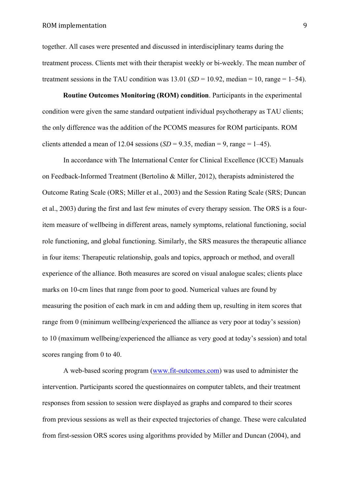# ROM implementation 9

together. All cases were presented and discussed in interdisciplinary teams during the treatment process. Clients met with their therapist weekly or bi-weekly. The mean number of treatment sessions in the TAU condition was  $13.01$  (*SD* = 10.92, median = 10, range = 1–54).

**Routine Outcomes Monitoring (ROM) condition**. Participants in the experimental condition were given the same standard outpatient individual psychotherapy as TAU clients; the only difference was the addition of the PCOMS measures for ROM participants. ROM clients attended a mean of 12.04 sessions  $(SD = 9.35, \text{ median} = 9, \text{range} = 1-45)$ .

In accordance with The International Center for Clinical Excellence (ICCE) Manuals on Feedback-Informed Treatment (Bertolino & Miller, 2012), therapists administered the Outcome Rating Scale (ORS; Miller et al., 2003) and the Session Rating Scale (SRS; Duncan et al., 2003) during the first and last few minutes of every therapy session. The ORS is a fouritem measure of wellbeing in different areas, namely symptoms, relational functioning, social role functioning, and global functioning. Similarly, the SRS measures the therapeutic alliance in four items: Therapeutic relationship, goals and topics, approach or method, and overall experience of the alliance. Both measures are scored on visual analogue scales; clients place marks on 10-cm lines that range from poor to good. Numerical values are found by measuring the position of each mark in cm and adding them up, resulting in item scores that range from 0 (minimum wellbeing/experienced the alliance as very poor at today's session) to 10 (maximum wellbeing/experienced the alliance as very good at today's session) and total scores ranging from 0 to 40.

A web-based scoring program (www.fit-outcomes.com) was used to administer the intervention. Participants scored the questionnaires on computer tablets, and their treatment responses from session to session were displayed as graphs and compared to their scores from previous sessions as well as their expected trajectories of change. These were calculated from first-session ORS scores using algorithms provided by Miller and Duncan (2004), and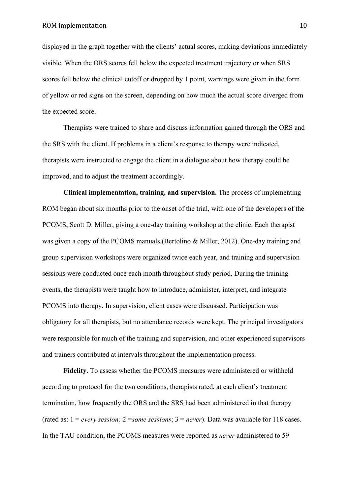displayed in the graph together with the clients' actual scores, making deviations immediately visible. When the ORS scores fell below the expected treatment trajectory or when SRS scores fell below the clinical cutoff or dropped by 1 point, warnings were given in the form of yellow or red signs on the screen, depending on how much the actual score diverged from the expected score.

Therapists were trained to share and discuss information gained through the ORS and the SRS with the client. If problems in a client's response to therapy were indicated, therapists were instructed to engage the client in a dialogue about how therapy could be improved, and to adjust the treatment accordingly.

**Clinical implementation, training, and supervision.** The process of implementing ROM began about six months prior to the onset of the trial, with one of the developers of the PCOMS, Scott D. Miller, giving a one-day training workshop at the clinic. Each therapist was given a copy of the PCOMS manuals (Bertolino & Miller, 2012). One-day training and group supervision workshops were organized twice each year, and training and supervision sessions were conducted once each month throughout study period. During the training events, the therapists were taught how to introduce, administer, interpret, and integrate PCOMS into therapy. In supervision, client cases were discussed. Participation was obligatory for all therapists, but no attendance records were kept. The principal investigators were responsible for much of the training and supervision, and other experienced supervisors and trainers contributed at intervals throughout the implementation process.

**Fidelity.** To assess whether the PCOMS measures were administered or withheld according to protocol for the two conditions, therapists rated, at each client's treatment termination, how frequently the ORS and the SRS had been administered in that therapy (rated as: 1 = *every session;* 2 =*some sessions*; 3 = *never*). Data was available for 118 cases. In the TAU condition, the PCOMS measures were reported as *never* administered to 59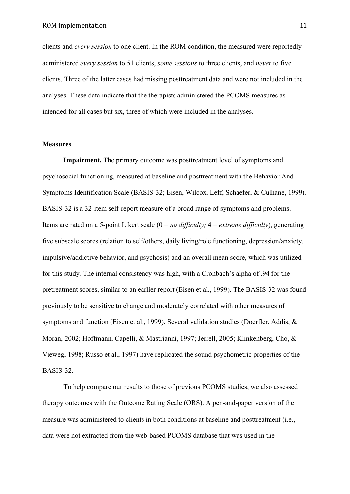clients and *every session* to one client. In the ROM condition, the measured were reportedly administered *every session* to 51 clients, *some sessions* to three clients, and *never* to five clients. Three of the latter cases had missing posttreatment data and were not included in the analyses. These data indicate that the therapists administered the PCOMS measures as intended for all cases but six, three of which were included in the analyses.

## **Measures**

**Impairment.** The primary outcome was posttreatment level of symptoms and psychosocial functioning, measured at baseline and posttreatment with the Behavior And Symptoms Identification Scale (BASIS-32; Eisen, Wilcox, Leff, Schaefer, & Culhane, 1999). BASIS-32 is a 32-item self-report measure of a broad range of symptoms and problems. Items are rated on a 5-point Likert scale (0 = *no difficulty;* 4 = *extreme difficulty*), generating five subscale scores (relation to self/others, daily living/role functioning, depression/anxiety, impulsive/addictive behavior, and psychosis) and an overall mean score, which was utilized for this study. The internal consistency was high, with a Cronbach's alpha of .94 for the pretreatment scores, similar to an earlier report (Eisen et al., 1999). The BASIS-32 was found previously to be sensitive to change and moderately correlated with other measures of symptoms and function (Eisen et al., 1999). Several validation studies (Doerfler, Addis, & Moran, 2002; Hoffmann, Capelli, & Mastrianni, 1997; Jerrell, 2005; Klinkenberg, Cho, & Vieweg, 1998; Russo et al., 1997) have replicated the sound psychometric properties of the BASIS-32.

To help compare our results to those of previous PCOMS studies, we also assessed therapy outcomes with the Outcome Rating Scale (ORS). A pen-and-paper version of the measure was administered to clients in both conditions at baseline and posttreatment (i.e., data were not extracted from the web-based PCOMS database that was used in the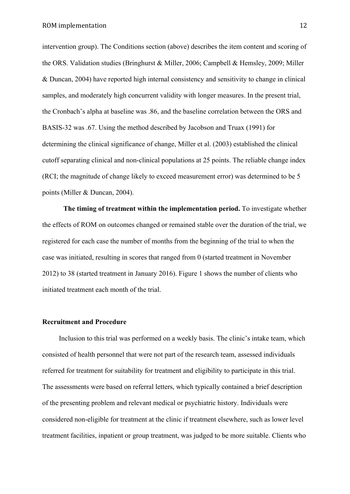intervention group). The Conditions section (above) describes the item content and scoring of the ORS. Validation studies (Bringhurst & Miller, 2006; Campbell & Hemsley, 2009; Miller & Duncan, 2004) have reported high internal consistency and sensitivity to change in clinical samples, and moderately high concurrent validity with longer measures. In the present trial, the Cronbach's alpha at baseline was .86, and the baseline correlation between the ORS and BASIS-32 was .67. Using the method described by Jacobson and Truax (1991) for determining the clinical significance of change, Miller et al. (2003) established the clinical cutoff separating clinical and non-clinical populations at 25 points. The reliable change index (RCI; the magnitude of change likely to exceed measurement error) was determined to be 5 points (Miller & Duncan, 2004).

**The timing of treatment within the implementation period.** To investigate whether the effects of ROM on outcomes changed or remained stable over the duration of the trial, we registered for each case the number of months from the beginning of the trial to when the case was initiated, resulting in scores that ranged from 0 (started treatment in November 2012) to 38 (started treatment in January 2016). Figure 1 shows the number of clients who initiated treatment each month of the trial.

## **Recruitment and Procedure**

Inclusion to this trial was performed on a weekly basis. The clinic's intake team, which consisted of health personnel that were not part of the research team, assessed individuals referred for treatment for suitability for treatment and eligibility to participate in this trial. The assessments were based on referral letters, which typically contained a brief description of the presenting problem and relevant medical or psychiatric history. Individuals were considered non-eligible for treatment at the clinic if treatment elsewhere, such as lower level treatment facilities, inpatient or group treatment, was judged to be more suitable. Clients who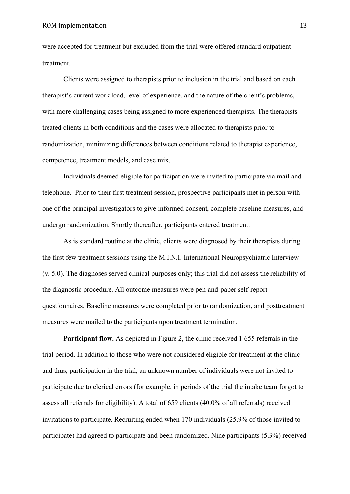# ROM implementation 13

were accepted for treatment but excluded from the trial were offered standard outpatient treatment.

Clients were assigned to therapists prior to inclusion in the trial and based on each therapist's current work load, level of experience, and the nature of the client's problems, with more challenging cases being assigned to more experienced therapists. The therapists treated clients in both conditions and the cases were allocated to therapists prior to randomization, minimizing differences between conditions related to therapist experience, competence, treatment models, and case mix.

Individuals deemed eligible for participation were invited to participate via mail and telephone. Prior to their first treatment session, prospective participants met in person with one of the principal investigators to give informed consent, complete baseline measures, and undergo randomization. Shortly thereafter, participants entered treatment.

As is standard routine at the clinic, clients were diagnosed by their therapists during the first few treatment sessions using the M.I.N.I. International Neuropsychiatric Interview (v. 5.0). The diagnoses served clinical purposes only; this trial did not assess the reliability of the diagnostic procedure. All outcome measures were pen-and-paper self-report questionnaires. Baseline measures were completed prior to randomization, and posttreatment measures were mailed to the participants upon treatment termination.

Participant flow. As depicted in Figure 2, the clinic received 1 655 referrals in the trial period. In addition to those who were not considered eligible for treatment at the clinic and thus, participation in the trial, an unknown number of individuals were not invited to participate due to clerical errors (for example, in periods of the trial the intake team forgot to assess all referrals for eligibility). A total of 659 clients (40.0% of all referrals) received invitations to participate. Recruiting ended when 170 individuals (25.9% of those invited to participate) had agreed to participate and been randomized. Nine participants (5.3%) received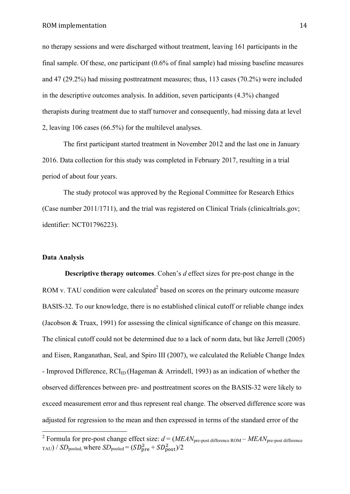no therapy sessions and were discharged without treatment, leaving 161 participants in the final sample. Of these, one participant (0.6% of final sample) had missing baseline measures and 47 (29.2%) had missing posttreatment measures; thus, 113 cases (70.2%) were included in the descriptive outcomes analysis. In addition, seven participants (4.3%) changed therapists during treatment due to staff turnover and consequently, had missing data at level 2, leaving 106 cases (66.5%) for the multilevel analyses.

The first participant started treatment in November 2012 and the last one in January 2016. Data collection for this study was completed in February 2017, resulting in a trial period of about four years.

The study protocol was approved by the Regional Committee for Research Ethics (Case number 2011/1711), and the trial was registered on Clinical Trials (clinicaltrials.gov; identifier: NCT01796223).

# **Data Analysis**

**Descriptive therapy outcomes**. Cohen's *d* effect sizes for pre-post change in the ROM v. TAU condition were calculated<sup>2</sup> based on scores on the primary outcome measure BASIS-32. To our knowledge, there is no established clinical cutoff or reliable change index (Jacobson & Truax, 1991) for assessing the clinical significance of change on this measure. The clinical cutoff could not be determined due to a lack of norm data, but like Jerrell (2005) and Eisen, Ranganathan, Seal, and Spiro III (2007), we calculated the Reliable Change Index - Improved Difference,  $RCI<sub>ID</sub>$  (Hageman & Arrindell, 1993) as an indication of whether the observed differences between pre- and posttreatment scores on the BASIS-32 were likely to exceed measurement error and thus represent real change. The observed difference score was adjusted for regression to the mean and then expressed in terms of the standard error of the

<sup>&</sup>lt;sup>2</sup> Formula for pre-post change effect size:  $d = (MEAN_{pre-post}$  difference ROM –  $MEAN_{pre-post}$  difference  $_{\text{TAU}}$ ) /  $SD_{\text{pooled}}$ , where  $SD_{\text{pooled}} = (SD_{\text{pre}}^2 + SD_{\text{post}}^2)/2$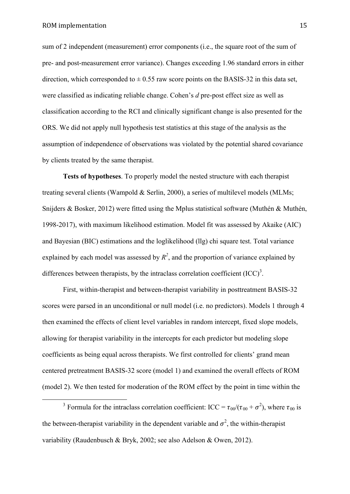sum of 2 independent (measurement) error components (i.e., the square root of the sum of pre- and post-measurement error variance). Changes exceeding 1.96 standard errors in either direction, which corresponded to  $\pm$  0.55 raw score points on the BASIS-32 in this data set, were classified as indicating reliable change. Cohen's *d* pre-post effect size as well as classification according to the RCI and clinically significant change is also presented for the ORS. We did not apply null hypothesis test statistics at this stage of the analysis as the assumption of independence of observations was violated by the potential shared covariance by clients treated by the same therapist.

**Tests of hypotheses**. To properly model the nested structure with each therapist treating several clients (Wampold & Serlin, 2000), a series of multilevel models (MLMs; Snijders & Bosker, 2012) were fitted using the Mplus statistical software (Muthén & Muthén, 1998-2017), with maximum likelihood estimation. Model fit was assessed by Akaike (AIC) and Bayesian (BIC) estimations and the loglikelihood (llg) chi square test. Total variance explained by each model was assessed by  $R^2$ , and the proportion of variance explained by differences between therapists, by the intraclass correlation coefficient  ${(ICC)}^3$ .

First, within-therapist and between-therapist variability in posttreatment BASIS-32 scores were parsed in an unconditional or null model (i.e. no predictors). Models 1 through 4 then examined the effects of client level variables in random intercept, fixed slope models, allowing for therapist variability in the intercepts for each predictor but modeling slope coefficients as being equal across therapists. We first controlled for clients' grand mean centered pretreatment BASIS-32 score (model 1) and examined the overall effects of ROM (model 2). We then tested for moderation of the ROM effect by the point in time within the

<sup>&</sup>lt;sup>3</sup> Formula for the intraclass correlation coefficient: ICC =  $\tau_{00}/(\tau_{00} + \sigma^2)$ , where  $\tau_{00}$  is the between-therapist variability in the dependent variable and  $\sigma^2$ , the within-therapist variability (Raudenbusch & Bryk, 2002; see also Adelson & Owen, 2012).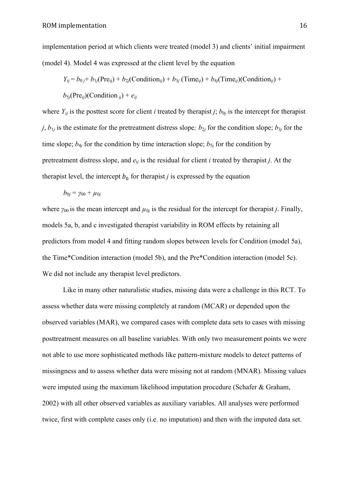implementation period at which clients were treated (model 3) and clients' initial impairment (model 4). Model 4 was expressed at the client level by the equation

$$
Y_{ij} = b_{0j} + b_{1j}(\text{Pre}_{ij}) + b_{2j}(\text{Condition}_{ij}) + b_{3j}(\text{Time}_{ij}) + b_{4j}(\text{Time}_{ij})(\text{Condition}_{ij}) + b_{5j}(\text{Pre}_{ij})(\text{Condition}_{ij}) + e_{ij}
$$

where  $Y_{ij}$  is the posttest score for client *i* treated by therapist *j*;  $b_{0j}$  is the intercept for therapist  $j$ ,  $b_{1j}$  is the estimate for the pretreatment distress slope;  $b_{2j}$  for the condition slope;  $b_{3j}$  for the time slope;  $b_{4j}$  for the condition by time interaction slope;  $b_{5j}$  for the condition by pretreatment distress slope, and *e*i*<sup>j</sup>* is the residual for client *i* treated by therapist *j*. At the therapist level, the intercept  $b_0$  for therapist *j* is expressed by the equation

$$
b_{0j}=\gamma_{00}+\mu_{0j}
$$

where  $\gamma_{00}$  is the mean intercept and  $\mu_{0j}$  is the residual for the intercept for therapist *j*. Finally, models 5a, b, and c investigated therapist variability in ROM effects by retaining all predictors from model 4 and fitting random slopes between levels for Condition (model 5a), the Time\*Condition interaction (model 5b), and the Pre\*Condition interaction (model 5c). We did not include any therapist level predictors.

Like in many other naturalistic studies, missing data were a challenge in this RCT. To assess whether data were missing completely at random (MCAR) or depended upon the observed variables (MAR), we compared cases with complete data sets to cases with missing posttreatment measures on all baseline variables. With only two measurement points we were not able to use more sophisticated methods like pattern-mixture models to detect patterns of missingness and to assess whether data were missing not at random (MNAR). Missing values were imputed using the maximum likelihood imputation procedure (Schafer & Graham, 2002) with all other observed variables as auxiliary variables. All analyses were performed twice, first with complete cases only (i.e. no imputation) and then with the imputed data set.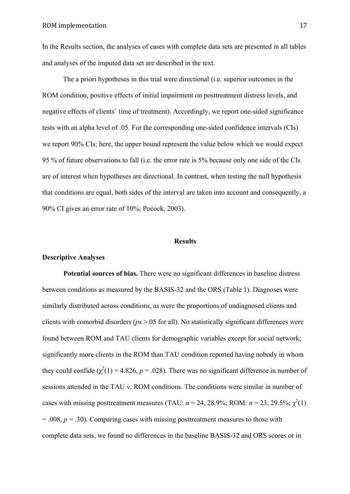In the Results section, the analyses of cases with complete data sets are presented in all tables and analyses of the imputed data set are described in the text.

The a priori hypotheses in this trial were directional (i.e. superior outcomes in the ROM condition, positive effects of initial impairment on posttreatment distress levels, and negative effects of clients' time of treatment). Accordingly, we report one-sided significance tests with an alpha level of .05. For the corresponding one-sided confidence intervals (CIs) we report 90% CIs; here, the upper bound represent the value below which we would expect 95 % of future observations to fall (i.e. the error rate is 5% because only one side of the CIs are of interest when hypotheses are directional. In contrast, when testing the null hypothesis that conditions are equal, both sides of the interval are taken into account and consequently, a 90% CI gives an error rate of 10%; Pocock, 2003).

## **Results**

## **Descriptive Analyses**

**Potential sources of bias.** There were no significant differences in baseline distress between conditions as measured by the BASIS-32 and the ORS (Table 1). Diagnoses were similarly distributed across conditions, as were the proportions of undiagnosed clients and clients with comorbid disorders (*p*s >.05 for all). No statistically significant differences were found between ROM and TAU clients for demographic variables except for social network; significantly more clients in the ROM than TAU condition reported having nobody in whom they could confide  $(\chi^2(1) = 4.826, p = .028)$ . There was no significant difference in number of sessions attended in the TAU v. ROM conditions. The conditions were similar in number of cases with missing posttreatment measures (TAU:  $n = 24$ , 28.9%; ROM:  $n = 23$ , 29.5%;  $\chi^2(1)$ ) = .008, *p* = .30). Comparing cases with missing posttreatment measures to those with complete data sets, we found no differences in the baseline BASIS-32 and ORS scores or in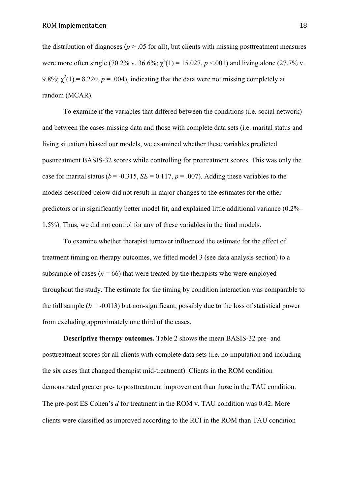the distribution of diagnoses ( $p > 0.05$  for all), but clients with missing posttreatment measures were more often single (70.2% v. 36.6%;  $\chi^2(1) = 15.027$ ,  $p < .001$ ) and living alone (27.7% v. 9.8%;  $\chi^2(1) = 8.220$ ,  $p = .004$ ), indicating that the data were not missing completely at random (MCAR).

To examine if the variables that differed between the conditions (i.e. social network) and between the cases missing data and those with complete data sets (i.e. marital status and living situation) biased our models, we examined whether these variables predicted posttreatment BASIS-32 scores while controlling for pretreatment scores. This was only the case for marital status ( $b = -0.315$ ,  $SE = 0.117$ ,  $p = .007$ ). Adding these variables to the models described below did not result in major changes to the estimates for the other predictors or in significantly better model fit, and explained little additional variance (0.2%– 1.5%). Thus, we did not control for any of these variables in the final models.

To examine whether therapist turnover influenced the estimate for the effect of treatment timing on therapy outcomes, we fitted model 3 (see data analysis section) to a subsample of cases ( $n = 66$ ) that were treated by the therapists who were employed throughout the study. The estimate for the timing by condition interaction was comparable to the full sample  $(b = -0.013)$  but non-significant, possibly due to the loss of statistical power from excluding approximately one third of the cases.

**Descriptive therapy outcomes.** Table 2 shows the mean BASIS-32 pre- and posttreatment scores for all clients with complete data sets (i.e. no imputation and including the six cases that changed therapist mid-treatment). Clients in the ROM condition demonstrated greater pre- to posttreatment improvement than those in the TAU condition. The pre-post ES Cohen's *d* for treatment in the ROM v. TAU condition was 0.42. More clients were classified as improved according to the RCI in the ROM than TAU condition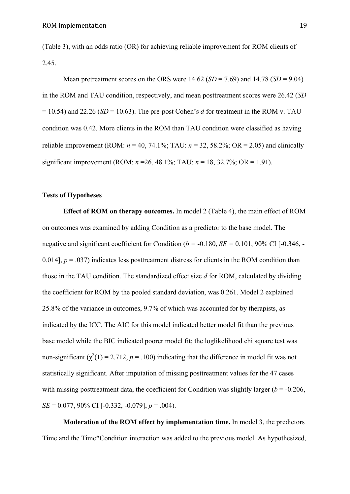(Table 3), with an odds ratio (OR) for achieving reliable improvement for ROM clients of 2.45.

Mean pretreatment scores on the ORS were 14.62 (*SD* = 7.69) and 14.78 (*SD* = 9.04) in the ROM and TAU condition, respectively, and mean posttreatment scores were 26.42 (*SD*   $= 10.54$ ) and 22.26 (*SD* = 10.63). The pre-post Cohen's *d* for treatment in the ROM v. TAU condition was 0.42. More clients in the ROM than TAU condition were classified as having reliable improvement (ROM:  $n = 40$ , 74.1%; TAU:  $n = 32$ , 58.2%; OR = 2.05) and clinically significant improvement (ROM: *n* =26, 48.1%; TAU: *n* = 18, 32.7%; OR = 1.91).

# **Tests of Hypotheses**

**Effect of ROM on therapy outcomes.** In model 2 (Table 4), the main effect of ROM on outcomes was examined by adding Condition as a predictor to the base model. The negative and significant coefficient for Condition ( $b = -0.180$ ,  $SE = 0.101$ , 90% CI [ $-0.346$ ,  $-$ 0.014],  $p = .037$  indicates less posttreatment distress for clients in the ROM condition than those in the TAU condition. The standardized effect size *d* for ROM, calculated by dividing the coefficient for ROM by the pooled standard deviation, was 0.261. Model 2 explained 25.8% of the variance in outcomes, 9.7% of which was accounted for by therapists, as indicated by the ICC. The AIC for this model indicated better model fit than the previous base model while the BIC indicated poorer model fit; the loglikelihood chi square test was non-significant  $(\chi^2(1) = 2.712, p = .100)$  indicating that the difference in model fit was not statistically significant. After imputation of missing posttreatment values for the 47 cases with missing posttreatment data, the coefficient for Condition was slightly larger  $(b = -0.206$ , *SE* = 0.077, 90% CI [-0.332, -0.079], *p* = .004).

**Moderation of the ROM effect by implementation time.** In model 3, the predictors Time and the Time\*Condition interaction was added to the previous model. As hypothesized,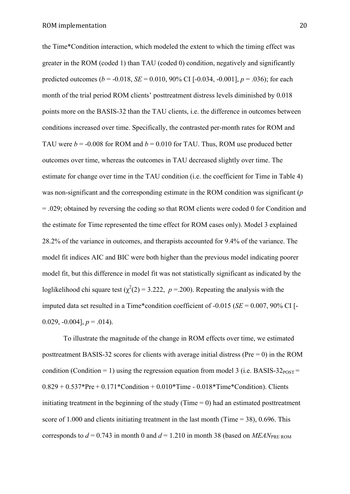the Time\*Condition interaction, which modeled the extent to which the timing effect was greater in the ROM (coded 1) than TAU (coded 0) condition, negatively and significantly predicted outcomes ( $b = -0.018$ ,  $SE = 0.010$ , 90% CI [ $-0.034$ ,  $-0.001$ ],  $p = .036$ ); for each month of the trial period ROM clients' posttreatment distress levels diminished by 0.018 points more on the BASIS-32 than the TAU clients, i.e. the difference in outcomes between conditions increased over time. Specifically, the contrasted per-month rates for ROM and TAU were  $b = -0.008$  for ROM and  $b = 0.010$  for TAU. Thus, ROM use produced better outcomes over time, whereas the outcomes in TAU decreased slightly over time. The estimate for change over time in the TAU condition (i.e. the coefficient for Time in Table 4) was non-significant and the corresponding estimate in the ROM condition was significant (*p*  = .029; obtained by reversing the coding so that ROM clients were coded 0 for Condition and the estimate for Time represented the time effect for ROM cases only). Model 3 explained 28.2% of the variance in outcomes, and therapists accounted for 9.4% of the variance. The model fit indices AIC and BIC were both higher than the previous model indicating poorer model fit, but this difference in model fit was not statistically significant as indicated by the loglikelihood chi square test  $(\chi^2(2) = 3.222, p = 200)$ . Repeating the analysis with the imputed data set resulted in a Time\*condition coefficient of -0.015 (*SE* = 0.007, 90% CI [- 0.029,  $-0.004$ ],  $p = .014$ ).

To illustrate the magnitude of the change in ROM effects over time, we estimated posttreatment BASIS-32 scores for clients with average initial distress ( $Pre = 0$ ) in the ROM condition (Condition = 1) using the regression equation from model 3 (i.e. BASIS-32 $_{POST}$  =  $0.829 + 0.537*Pre + 0.171*Condition + 0.010*Time - 0.018*Time*Condition$ . Clients initiating treatment in the beginning of the study (Time  $= 0$ ) had an estimated posttreatment score of 1.000 and clients initiating treatment in the last month (Time = 38), 0.696. This corresponds to  $d = 0.743$  in month 0 and  $d = 1.210$  in month 38 (based on *MEAN*<sub>PRE ROM</sub>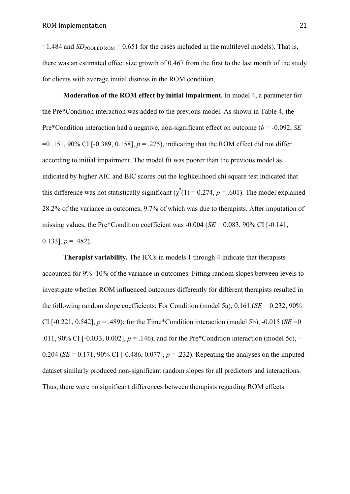$=1.484$  and *SD*<sub>POOLED ROM</sub>  $= 0.651$  for the cases included in the multilevel models). That is, there was an estimated effect size growth of 0.467 from the first to the last month of the study for clients with average initial distress in the ROM condition.

**Moderation of the ROM effect by initial impairment.** In model 4, a parameter for the Pre\*Condition interaction was added to the previous model. As shown in Table 4, the Pre\*Condition interaction had a negative, non-significant effect on outcome (*b* = -0.092, *SE*  =0 .151, 90% CI [-0.389, 0.158], *p* = .275), indicating that the ROM effect did not differ according to initial impairment. The model fit was poorer than the previous model as indicated by higher AIC and BIC scores but the loglikelihood chi square test indicated that this difference was not statistically significant ( $\chi^2(1) = 0.274$ ,  $p = .601$ ). The model explained 28.2% of the variance in outcomes, 9.7% of which was due to therapists. After imputation of missing values, the Pre\*Condition coefficient was -0.004 (*SE* = 0.083, 90% CI [-0.141, 0.133],  $p = .482$ ).

**Therapist variability.** The ICCs in models 1 through 4 indicate that therapists accounted for 9%–10% of the variance in outcomes. Fitting random slopes between levels to investigate whether ROM influenced outcomes differently for different therapists resulted in the following random slope coefficients: For Condition (model 5a), 0.161 (*SE* = 0.232, 90% CI  $[-0.221, 0.542]$ ,  $p = .489$ ; for the Time\*Condition interaction (model 5b),  $-0.015$  (*SE* = 0 .011, 90% CI [-0.033, 0.002], *p* = .146), and for the Pre\*Condition interaction (model 5c), - 0.204 (*SE* = 0.171, 90% CI [-0.486, 0.077],  $p = 0.232$ ). Repeating the analyses on the imputed dataset similarly produced non-significant random slopes for all predictors and interactions. Thus, there were no significant differences between therapists regarding ROM effects.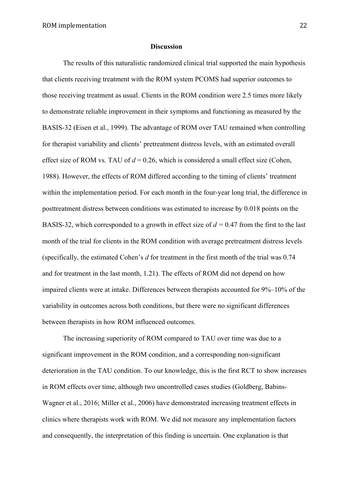#### **Discussion**

The results of this naturalistic randomized clinical trial supported the main hypothesis that clients receiving treatment with the ROM system PCOMS had superior outcomes to those receiving treatment as usual. Clients in the ROM condition were 2.5 times more likely to demonstrate reliable improvement in their symptoms and functioning as measured by the BASIS-32 (Eisen et al., 1999). The advantage of ROM over TAU remained when controlling for therapist variability and clients' pretreatment distress levels, with an estimated overall effect size of ROM vs. TAU of  $d = 0.26$ , which is considered a small effect size (Cohen, 1988). However, the effects of ROM differed according to the timing of clients' treatment within the implementation period. For each month in the four-year long trial, the difference in posttreatment distress between conditions was estimated to increase by 0.018 points on the BASIS-32, which corresponded to a growth in effect size of *d =* 0.47 from the first to the last month of the trial for clients in the ROM condition with average pretreatment distress levels (specifically, the estimated Cohen's *d* for treatment in the first month of the trial was 0.74 and for treatment in the last month, 1.21). The effects of ROM did not depend on how impaired clients were at intake. Differences between therapists accounted for 9%–10% of the variability in outcomes across both conditions, but there were no significant differences between therapists in how ROM influenced outcomes.

The increasing superiority of ROM compared to TAU over time was due to a significant improvement in the ROM condition, and a corresponding non-significant deterioration in the TAU condition. To our knowledge, this is the first RCT to show increases in ROM effects over time, although two uncontrolled cases studies (Goldberg, Babins-Wagner et al., 2016; Miller et al., 2006) have demonstrated increasing treatment effects in clinics where therapists work with ROM. We did not measure any implementation factors and consequently, the interpretation of this finding is uncertain. One explanation is that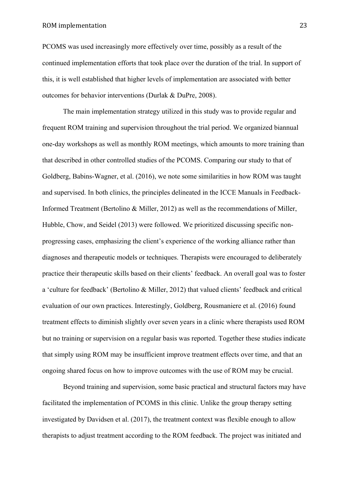# ROM implementation 23

PCOMS was used increasingly more effectively over time, possibly as a result of the continued implementation efforts that took place over the duration of the trial. In support of this, it is well established that higher levels of implementation are associated with better outcomes for behavior interventions (Durlak & DuPre, 2008).

The main implementation strategy utilized in this study was to provide regular and frequent ROM training and supervision throughout the trial period. We organized biannual one-day workshops as well as monthly ROM meetings, which amounts to more training than that described in other controlled studies of the PCOMS. Comparing our study to that of Goldberg, Babins-Wagner, et al. (2016), we note some similarities in how ROM was taught and supervised. In both clinics, the principles delineated in the ICCE Manuals in Feedback-Informed Treatment (Bertolino & Miller, 2012) as well as the recommendations of Miller, Hubble, Chow, and Seidel (2013) were followed. We prioritized discussing specific nonprogressing cases, emphasizing the client's experience of the working alliance rather than diagnoses and therapeutic models or techniques. Therapists were encouraged to deliberately practice their therapeutic skills based on their clients' feedback. An overall goal was to foster a 'culture for feedback' (Bertolino & Miller, 2012) that valued clients' feedback and critical evaluation of our own practices. Interestingly, Goldberg, Rousmaniere et al. (2016) found treatment effects to diminish slightly over seven years in a clinic where therapists used ROM but no training or supervision on a regular basis was reported. Together these studies indicate that simply using ROM may be insufficient improve treatment effects over time, and that an ongoing shared focus on how to improve outcomes with the use of ROM may be crucial.

Beyond training and supervision, some basic practical and structural factors may have facilitated the implementation of PCOMS in this clinic. Unlike the group therapy setting investigated by Davidsen et al. (2017), the treatment context was flexible enough to allow therapists to adjust treatment according to the ROM feedback. The project was initiated and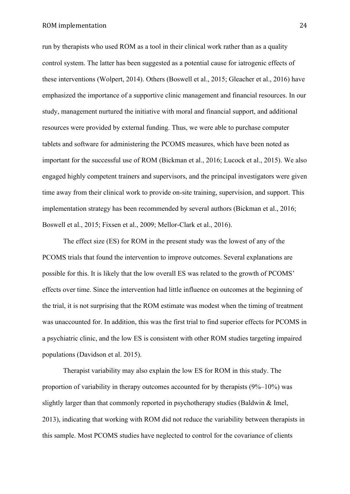# ROM implementation 24

run by therapists who used ROM as a tool in their clinical work rather than as a quality control system. The latter has been suggested as a potential cause for iatrogenic effects of these interventions (Wolpert, 2014). Others (Boswell et al., 2015; Gleacher et al., 2016) have emphasized the importance of a supportive clinic management and financial resources. In our study, management nurtured the initiative with moral and financial support, and additional resources were provided by external funding. Thus, we were able to purchase computer tablets and software for administering the PCOMS measures, which have been noted as important for the successful use of ROM (Bickman et al., 2016; Lucock et al., 2015). We also engaged highly competent trainers and supervisors, and the principal investigators were given time away from their clinical work to provide on-site training, supervision, and support. This implementation strategy has been recommended by several authors (Bickman et al., 2016; Boswell et al., 2015; Fixsen et al., 2009; Mellor-Clark et al., 2016).

The effect size (ES) for ROM in the present study was the lowest of any of the PCOMS trials that found the intervention to improve outcomes. Several explanations are possible for this. It is likely that the low overall ES was related to the growth of PCOMS' effects over time. Since the intervention had little influence on outcomes at the beginning of the trial, it is not surprising that the ROM estimate was modest when the timing of treatment was unaccounted for. In addition, this was the first trial to find superior effects for PCOMS in a psychiatric clinic, and the low ES is consistent with other ROM studies targeting impaired populations (Davidson et al. 2015).

Therapist variability may also explain the low ES for ROM in this study. The proportion of variability in therapy outcomes accounted for by therapists  $(9\%-10\%)$  was slightly larger than that commonly reported in psychotherapy studies (Baldwin & Imel, 2013), indicating that working with ROM did not reduce the variability between therapists in this sample. Most PCOMS studies have neglected to control for the covariance of clients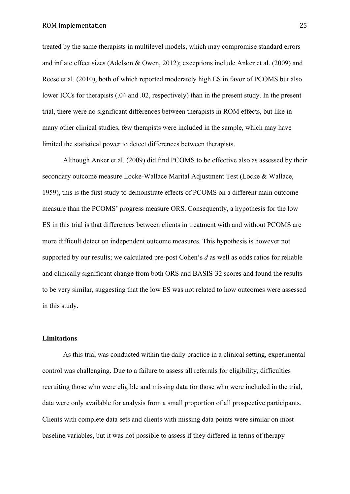treated by the same therapists in multilevel models, which may compromise standard errors and inflate effect sizes (Adelson & Owen, 2012); exceptions include Anker et al. (2009) and Reese et al. (2010), both of which reported moderately high ES in favor of PCOMS but also lower ICCs for therapists (.04 and .02, respectively) than in the present study. In the present trial, there were no significant differences between therapists in ROM effects, but like in many other clinical studies, few therapists were included in the sample, which may have limited the statistical power to detect differences between therapists.

Although Anker et al. (2009) did find PCOMS to be effective also as assessed by their secondary outcome measure Locke-Wallace Marital Adjustment Test (Locke & Wallace, 1959), this is the first study to demonstrate effects of PCOMS on a different main outcome measure than the PCOMS' progress measure ORS. Consequently, a hypothesis for the low ES in this trial is that differences between clients in treatment with and without PCOMS are more difficult detect on independent outcome measures. This hypothesis is however not supported by our results; we calculated pre-post Cohen's *d* as well as odds ratios for reliable and clinically significant change from both ORS and BASIS-32 scores and found the results to be very similar, suggesting that the low ES was not related to how outcomes were assessed in this study.

# **Limitations**

As this trial was conducted within the daily practice in a clinical setting, experimental control was challenging. Due to a failure to assess all referrals for eligibility, difficulties recruiting those who were eligible and missing data for those who were included in the trial, data were only available for analysis from a small proportion of all prospective participants. Clients with complete data sets and clients with missing data points were similar on most baseline variables, but it was not possible to assess if they differed in terms of therapy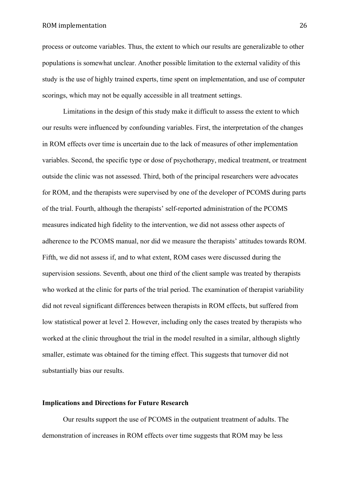# ROM implementation 26

process or outcome variables. Thus, the extent to which our results are generalizable to other populations is somewhat unclear. Another possible limitation to the external validity of this study is the use of highly trained experts, time spent on implementation, and use of computer scorings, which may not be equally accessible in all treatment settings.

Limitations in the design of this study make it difficult to assess the extent to which our results were influenced by confounding variables. First, the interpretation of the changes in ROM effects over time is uncertain due to the lack of measures of other implementation variables. Second, the specific type or dose of psychotherapy, medical treatment, or treatment outside the clinic was not assessed. Third, both of the principal researchers were advocates for ROM, and the therapists were supervised by one of the developer of PCOMS during parts of the trial. Fourth, although the therapists' self-reported administration of the PCOMS measures indicated high fidelity to the intervention, we did not assess other aspects of adherence to the PCOMS manual, nor did we measure the therapists' attitudes towards ROM. Fifth, we did not assess if, and to what extent, ROM cases were discussed during the supervision sessions. Seventh, about one third of the client sample was treated by therapists who worked at the clinic for parts of the trial period. The examination of therapist variability did not reveal significant differences between therapists in ROM effects, but suffered from low statistical power at level 2. However, including only the cases treated by therapists who worked at the clinic throughout the trial in the model resulted in a similar, although slightly smaller, estimate was obtained for the timing effect. This suggests that turnover did not substantially bias our results.

# **Implications and Directions for Future Research**

Our results support the use of PCOMS in the outpatient treatment of adults. The demonstration of increases in ROM effects over time suggests that ROM may be less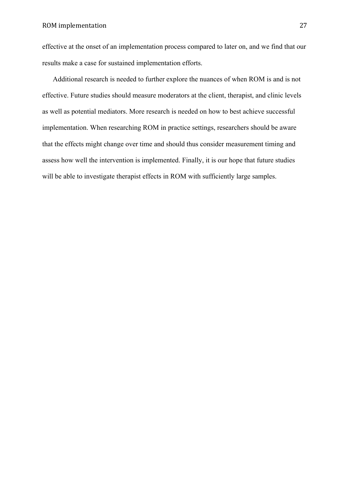effective at the onset of an implementation process compared to later on, and we find that our results make a case for sustained implementation efforts.

Additional research is needed to further explore the nuances of when ROM is and is not effective. Future studies should measure moderators at the client, therapist, and clinic levels as well as potential mediators. More research is needed on how to best achieve successful implementation. When researching ROM in practice settings, researchers should be aware that the effects might change over time and should thus consider measurement timing and assess how well the intervention is implemented. Finally, it is our hope that future studies will be able to investigate therapist effects in ROM with sufficiently large samples.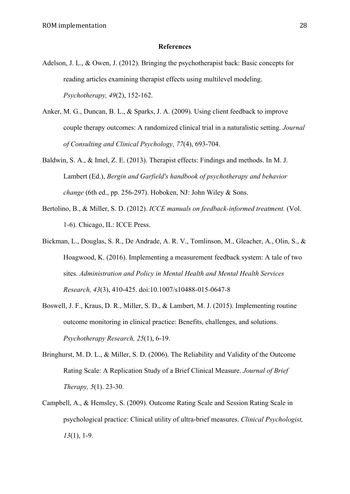#### **References**

- Adelson, J. L., & Owen, J. (2012). Bringing the psychotherapist back: Basic concepts for reading articles examining therapist effects using multilevel modeling. *Psychotherapy, 49*(2), 152-162.
- Anker, M. G., Duncan, B. L., & Sparks, J. A. (2009). Using client feedback to improve couple therapy outcomes: A randomized clinical trial in a naturalistic setting. *Journal of Consulting and Clinical Psychology, 77*(4), 693-704.
- Baldwin, S. A., & Imel, Z. E. (2013). Therapist effects: Findings and methods. In M. J. Lambert (Ed.), *Bergin and Garfield's handbook of psychotherapy and behavior change* (6th ed., pp. 256-297). Hoboken, NJ: John Wiley & Sons.
- Bertolino, B., & Miller, S. D. (2012). *ICCE manuals on feedback-informed treatment.* (Vol. 1-6). Chicago, IL: ICCE Press.
- Bickman, L., Douglas, S. R., De Andrade, A. R. V., Tomlinson, M., Gleacher, A., Olin, S., & Hoagwood, K. (2016). Implementing a measurement feedback system: A tale of two sites. *Administration and Policy in Mental Health and Mental Health Services Research, 43*(3), 410-425. doi:10.1007/s10488-015-0647-8
- Boswell, J. F., Kraus, D. R., Miller, S. D., & Lambert, M. J. (2015). Implementing routine outcome monitoring in clinical practice: Benefits, challenges, and solutions. *Psychotherapy Research, 25*(1), 6-19.
- Bringhurst, M. D. L., & Miller, S. D. (2006). The Reliability and Validity of the Outcome Rating Scale: A Replication Study of a Brief Clinical Measure. *Journal of Brief Therapy, 5*(1). 23-30.
- Campbell, A., & Hemsley, S. (2009). Outcome Rating Scale and Session Rating Scale in psychological practice: Clinical utility of ultra-brief measures. *Clinical Psychologist, 13*(1), 1-9.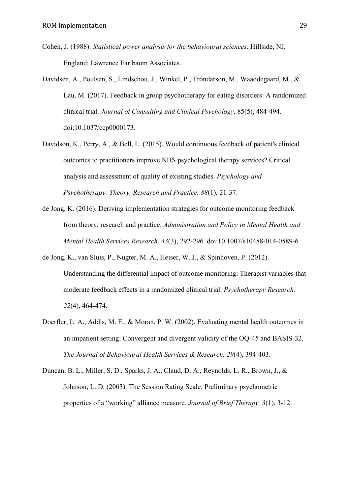- Cohen, J. (1988). *Statistical power analysis for the behavioural sciences*. Hillside, NJ, England: Lawrence Earlbaum Associates.
- Davidsen, A., Poulsen, S., Lindschou, J., Winkel, P., Tróndarson, M., Waaddegaard, M., & Lau, M. (2017). Feedback in group psychotherapy for eating disorders: A randomized clinical trial. *Journal of Consulting and Clinical Psychology*, 85(5), 484-494. doi:10.1037/ccp0000173.
- Davidson, K., Perry, A., & Bell, L. (2015). Would continuous feedback of patient's clinical outcomes to practitioners improve NHS psychological therapy services? Critical analysis and assessment of quality of existing studies. *Psychology and Psychotherapy: Theory, Research and Practice, 88*(1), 21-37.
- de Jong, K. (2016). Deriving implementation strategies for outcome monitoring feedback from theory, research and practice. *Administration and Policy in Mental Health and Mental Health Services Research, 43*(3), 292-296. doi:10.1007/s10488-014-0589-6
- de Jong, K., van Sluis, P., Nugter, M. A., Heiser, W. J., & Spinhoven, P. (2012). Understanding the differential impact of outcome monitoring: Therapist variables that moderate feedback effects in a randomized clinical trial. *Psychotherapy Research, 22*(4), 464-474.
- Doerfler, L. A., Addis, M. E., & Moran, P. W. (2002). Evaluating mental health outcomes in an impatient setting: Convergent and divergent validity of the OQ-45 and BASIS-32. *The Journal of Behavioural Health Services & Research, 29*(4), 394-403.
- Duncan, B. L., Miller, S. D., Sparks, J. A., Claud, D. A., Reynolds, L. R., Brown, J., & Johnson, L. D. (2003). The Session Rating Scale: Preliminary psychometric properties of a "working" alliance measure. *Journal of Brief Therapy, 3*(1), 3-12.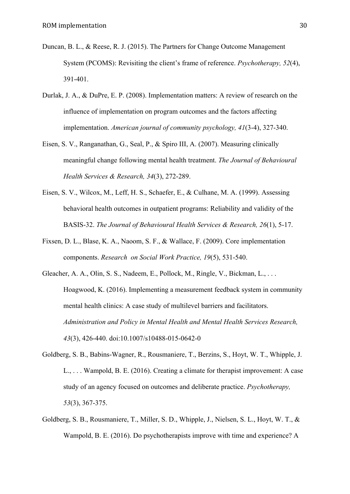- Duncan, B. L., & Reese, R. J. (2015). The Partners for Change Outcome Management System (PCOMS): Revisiting the client's frame of reference. *Psychotherapy, 52*(4), 391-401.
- Durlak, J. A., & DuPre, E. P. (2008). Implementation matters: A review of research on the influence of implementation on program outcomes and the factors affecting implementation. *American journal of community psychology, 41*(3-4), 327-340.
- Eisen, S. V., Ranganathan, G., Seal, P., & Spiro III, A. (2007). Measuring clinically meaningful change following mental health treatment. *The Journal of Behavioural Health Services & Research, 34*(3), 272-289.
- Eisen, S. V., Wilcox, M., Leff, H. S., Schaefer, E., & Culhane, M. A. (1999). Assessing behavioral health outcomes in outpatient programs: Reliability and validity of the BASIS-32. *The Journal of Behavioural Health Services & Research, 26*(1), 5-17.
- Fixsen, D. L., Blase, K. A., Naoom, S. F., & Wallace, F. (2009). Core implementation components. *Research on Social Work Practice, 19*(5), 531-540.
- Gleacher, A. A., Olin, S. S., Nadeem, E., Pollock, M., Ringle, V., Bickman, L., . . . Hoagwood, K. (2016). Implementing a measurement feedback system in community mental health clinics: A case study of multilevel barriers and facilitators. *Administration and Policy in Mental Health and Mental Health Services Research, 43*(3), 426-440. doi:10.1007/s10488-015-0642-0
- Goldberg, S. B., Babins-Wagner, R., Rousmaniere, T., Berzins, S., Hoyt, W. T., Whipple, J. L., . . . Wampold, B. E. (2016). Creating a climate for therapist improvement: A case study of an agency focused on outcomes and deliberate practice. *Psychotherapy, 53*(3), 367-375.
- Goldberg, S. B., Rousmaniere, T., Miller, S. D., Whipple, J., Nielsen, S. L., Hoyt, W. T., & Wampold, B. E. (2016). Do psychotherapists improve with time and experience? A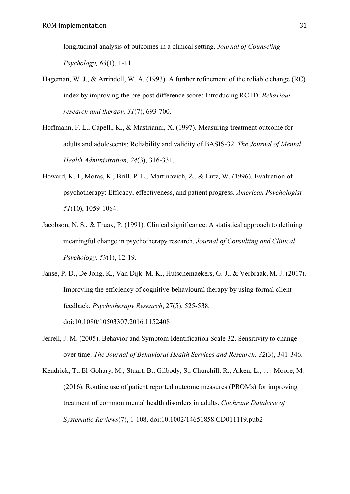longitudinal analysis of outcomes in a clinical setting. *Journal of Counseling Psychology, 63*(1), 1-11.

- Hageman, W. J., & Arrindell, W. A. (1993). A further refinement of the reliable change (RC) index by improving the pre-post difference score: Introducing RC ID. *Behaviour research and therapy, 31*(7), 693-700.
- Hoffmann, F. L., Capelli, K., & Mastrianni, X. (1997). Measuring treatment outcome for adults and adolescents: Reliability and validity of BASIS-32. *The Journal of Mental Health Administration, 24*(3), 316-331.
- Howard, K. I., Moras, K., Brill, P. L., Martinovich, Z., & Lutz, W. (1996). Evaluation of psychotherapy: Efficacy, effectiveness, and patient progress. *American Psychologist, 51*(10), 1059-1064.
- Jacobson, N. S., & Truax, P. (1991). Clinical significance: A statistical approach to defining meaningful change in psychotherapy research. *Journal of Consulting and Clinical Psychology, 59*(1), 12-19.
- Janse, P. D., De Jong, K., Van Dijk, M. K., Hutschemaekers, G. J., & Verbraak, M. J. (2017). Improving the efficiency of cognitive-behavioural therapy by using formal client feedback. *Psychotherapy Research*, 27(5), 525-538. doi:10.1080/10503307.2016.1152408
- Jerrell, J. M. (2005). Behavior and Symptom Identification Scale 32. Sensitivity to change over time. *The Journal of Behavioral Health Services and Research, 32*(3), 341-346.
- Kendrick, T., El-Gohary, M., Stuart, B., Gilbody, S., Churchill, R., Aiken, L., . . . Moore, M. (2016). Routine use of patient reported outcome measures (PROMs) for improving treatment of common mental health disorders in adults. *Cochrane Database of Systematic Reviews*(7), 1-108. doi:10.1002/14651858.CD011119.pub2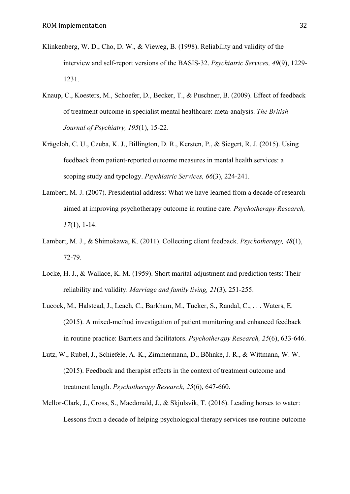- Klinkenberg, W. D., Cho, D. W., & Vieweg, B. (1998). Reliability and validity of the interview and self-report versions of the BASIS-32. *Psychiatric Services, 49*(9), 1229- 1231.
- Knaup, C., Koesters, M., Schoefer, D., Becker, T., & Puschner, B. (2009). Effect of feedback of treatment outcome in specialist mental healthcare: meta-analysis. *The British Journal of Psychiatry, 195*(1), 15-22.
- Krägeloh, C. U., Czuba, K. J., Billington, D. R., Kersten, P., & Siegert, R. J. (2015). Using feedback from patient-reported outcome measures in mental health services: a scoping study and typology. *Psychiatric Services, 66*(3), 224-241.
- Lambert, M. J. (2007). Presidential address: What we have learned from a decade of research aimed at improving psychotherapy outcome in routine care. *Psychotherapy Research, 17*(1), 1-14.
- Lambert, M. J., & Shimokawa, K. (2011). Collecting client feedback. *Psychotherapy, 48*(1), 72-79.
- Locke, H. J., & Wallace, K. M. (1959). Short marital-adjustment and prediction tests: Their reliability and validity. *Marriage and family living, 21*(3), 251-255.
- Lucock, M., Halstead, J., Leach, C., Barkham, M., Tucker, S., Randal, C., . . . Waters, E. (2015). A mixed-method investigation of patient monitoring and enhanced feedback in routine practice: Barriers and facilitators. *Psychotherapy Research, 25*(6), 633-646.
- Lutz, W., Rubel, J., Schiefele, A.-K., Zimmermann, D., Böhnke, J. R., & Wittmann, W. W. (2015). Feedback and therapist effects in the context of treatment outcome and treatment length. *Psychotherapy Research, 25*(6), 647-660.
- Mellor-Clark, J., Cross, S., Macdonald, J., & Skjulsvik, T. (2016). Leading horses to water: Lessons from a decade of helping psychological therapy services use routine outcome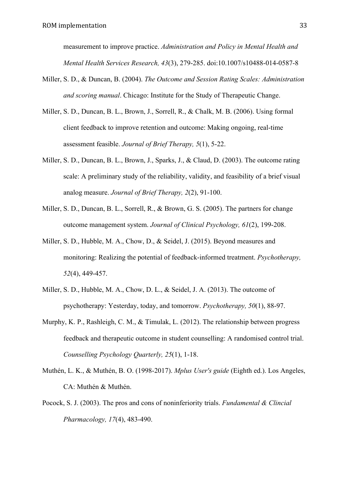measurement to improve practice. *Administration and Policy in Mental Health and Mental Health Services Research, 43*(3), 279-285. doi:10.1007/s10488-014-0587-8

- Miller, S. D., & Duncan, B. (2004). *The Outcome and Session Rating Scales: Administration and scoring manual*. Chicago: Institute for the Study of Therapeutic Change.
- Miller, S. D., Duncan, B. L., Brown, J., Sorrell, R., & Chalk, M. B. (2006). Using formal client feedback to improve retention and outcome: Making ongoing, real-time assessment feasible. *Journal of Brief Therapy, 5*(1), 5-22.
- Miller, S. D., Duncan, B. L., Brown, J., Sparks, J., & Claud, D. (2003). The outcome rating scale: A preliminary study of the reliability, validity, and feasibility of a brief visual analog measure. *Journal of Brief Therapy, 2*(2), 91-100.
- Miller, S. D., Duncan, B. L., Sorrell, R., & Brown, G. S. (2005). The partners for change outcome management system. *Journal of Clinical Psychology, 61*(2), 199-208.
- Miller, S. D., Hubble, M. A., Chow, D., & Seidel, J. (2015). Beyond measures and monitoring: Realizing the potential of feedback-informed treatment. *Psychotherapy, 52*(4), 449-457.
- Miller, S. D., Hubble, M. A., Chow, D. L., & Seidel, J. A. (2013). The outcome of psychotherapy: Yesterday, today, and tomorrow. *Psychotherapy, 50*(1), 88-97.
- Murphy, K. P., Rashleigh, C. M., & Timulak, L. (2012). The relationship between progress feedback and therapeutic outcome in student counselling: A randomised control trial. *Counselling Psychology Quarterly, 25*(1), 1-18.
- Muthén, L. K., & Muthén, B. O. (1998-2017). *Mplus User's guide* (Eighth ed.). Los Angeles, CA: Muthén & Muthén.
- Pocock, S. J. (2003). The pros and cons of noninferiority trials. *Fundamental & Clincial Pharmacology, 17*(4), 483-490.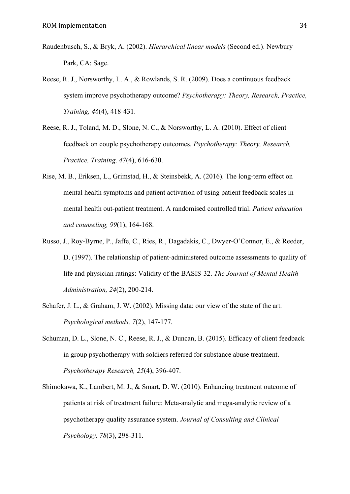- Raudenbusch, S., & Bryk, A. (2002). *Hierarchical linear models* (Second ed.). Newbury Park, CA: Sage.
- Reese, R. J., Norsworthy, L. A., & Rowlands, S. R. (2009). Does a continuous feedback system improve psychotherapy outcome? *Psychotherapy: Theory, Research, Practice, Training, 46*(4), 418-431.
- Reese, R. J., Toland, M. D., Slone, N. C., & Norsworthy, L. A. (2010). Effect of client feedback on couple psychotherapy outcomes. *Psychotherapy: Theory, Research, Practice, Training, 47*(4), 616-630.
- Rise, M. B., Eriksen, L., Grimstad, H., & Steinsbekk, A. (2016). The long-term effect on mental health symptoms and patient activation of using patient feedback scales in mental health out-patient treatment. A randomised controlled trial. *Patient education and counseling, 99*(1), 164-168.
- Russo, J., Roy-Byrne, P., Jaffe, C., Ries, R., Dagadakis, C., Dwyer-O'Connor, E., & Reeder, D. (1997). The relationship of patient-administered outcome assessments to quality of life and physician ratings: Validity of the BASIS-32. *The Journal of Mental Health Administration, 24*(2), 200-214.
- Schafer, J. L., & Graham, J. W. (2002). Missing data: our view of the state of the art. *Psychological methods, 7*(2), 147-177.
- Schuman, D. L., Slone, N. C., Reese, R. J., & Duncan, B. (2015). Efficacy of client feedback in group psychotherapy with soldiers referred for substance abuse treatment. *Psychotherapy Research, 25*(4), 396-407.
- Shimokawa, K., Lambert, M. J., & Smart, D. W. (2010). Enhancing treatment outcome of patients at risk of treatment failure: Meta-analytic and mega-analytic review of a psychotherapy quality assurance system. *Journal of Consulting and Clinical Psychology, 78*(3), 298-311.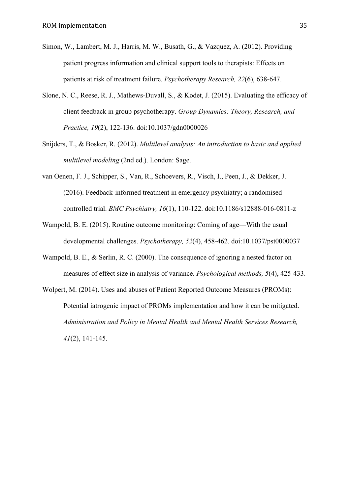- Simon, W., Lambert, M. J., Harris, M. W., Busath, G., & Vazquez, A. (2012). Providing patient progress information and clinical support tools to therapists: Effects on patients at risk of treatment failure. *Psychotherapy Research, 22*(6), 638-647.
- Slone, N. C., Reese, R. J., Mathews-Duvall, S., & Kodet, J. (2015). Evaluating the efficacy of client feedback in group psychotherapy. *Group Dynamics: Theory, Research, and Practice, 19*(2), 122-136. doi:10.1037/gdn0000026
- Snijders, T., & Bosker, R. (2012). *Multilevel analysis: An introduction to basic and applied multilevel modeling* (2nd ed.). London: Sage.
- van Oenen, F. J., Schipper, S., Van, R., Schoevers, R., Visch, I., Peen, J., & Dekker, J. (2016). Feedback-informed treatment in emergency psychiatry; a randomised controlled trial. *BMC Psychiatry, 16*(1), 110-122. doi:10.1186/s12888-016-0811-z
- Wampold, B. E. (2015). Routine outcome monitoring: Coming of age—With the usual developmental challenges. *Psychotherapy, 52*(4), 458-462. doi:10.1037/pst0000037
- Wampold, B. E., & Serlin, R. C. (2000). The consequence of ignoring a nested factor on measures of effect size in analysis of variance. *Psychological methods, 5*(4), 425-433.
- Wolpert, M. (2014). Uses and abuses of Patient Reported Outcome Measures (PROMs): Potential iatrogenic impact of PROMs implementation and how it can be mitigated. *Administration and Policy in Mental Health and Mental Health Services Research, 41*(2), 141-145.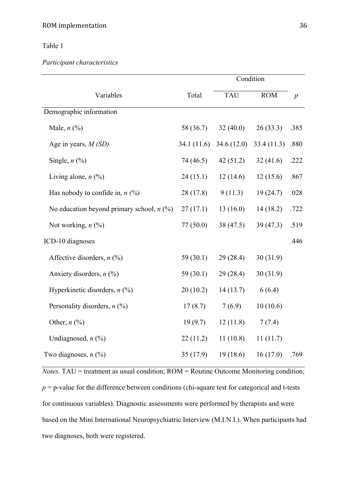# Table 1

*Participant characteristics*

|                                             |             | Condition  |            |                  |
|---------------------------------------------|-------------|------------|------------|------------------|
| Variables                                   | Total       | <b>TAU</b> | <b>ROM</b> | $\boldsymbol{p}$ |
| Demographic information                     |             |            |            |                  |
| Male, $n$ $(\%)$                            | 58 (36.7)   | 32(40.0)   | 26(33.3)   | .385             |
| Age in years, $M(SD)$                       | 34.1(11.6)  | 34.6(12.0) | 33.4(11.3) | .880             |
| Single, $n$ $\left(\frac{9}{6}\right)$      | 74 (46.5)   | 42(51.2)   | 32(41.6)   | .222             |
| Living alone, $n$ (%)                       | 24(15.1)    | 12(14.6)   | 12(15.6)   | .867             |
| Has nobody to confide in, $n$ (%)           | 28(17.8)    | 9(11.3)    | 19(24.7)   | .028             |
| No education beyond primary school, $n$ (%) | 27(17.1)    | 13(16.0)   | 14(18.2)   | .722             |
| Not working, $n$ $\left(\frac{9}{0}\right)$ | 77(50.0)    | 38(47.5)   | 39(47.3)   | .519             |
| ICD-10 diagnoses                            |             |            |            | .446             |
| Affective disorders, $n$ (%)                | 59 (30.1)   | 29(28.4)   | 30(31.9)   |                  |
| Anxiety disorders, $n$ (%)                  | 59 $(30.1)$ | 29(28.4)   | 30(31.9)   |                  |
| Hyperkinetic disorders, $n$ (%)             | 20(10.2)    | 14(13.7)   | 6(6.4)     |                  |
| Personality disorders, $n$ (%)              | 17(8.7)     | 7(6.9)     | 10(10.6)   |                  |
| Other, $n$ (%)                              | 19(9.7)     | 12(11.8)   | 7(7.4)     |                  |
| Undiagnosed, $n$ $(\%)$                     | 22(11.2)    | 11(10.8)   | 11(11.7)   |                  |
| Two diagnoses, $n$ (%)                      | 35(17.9)    | 19(18.6)   | 16(17.0)   | .769             |

*Notes.* TAU = treatment as usual condition; ROM = Routine Outcome Monitoring condition;  $p = p$ -value for the difference between conditions (chi-square test for categorical and t-tests for continuous variables). Diagnostic assessments were performed by therapists and were based on the Mini International Neuropsychiatric Interview (M.I.N.I.). When participants had two diagnoses, both were registered.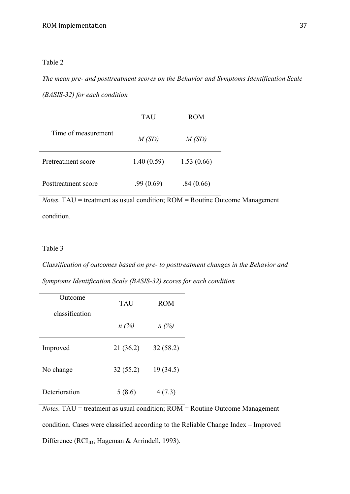# Table 2

*The mean pre- and posttreatment scores on the Behavior and Symptoms Identification Scale* 

*(BASIS-32) for each condition*

|                     | TAU            | <b>ROM</b> |  |
|---------------------|----------------|------------|--|
| Time of measurement | M(SD)<br>M(SD) |            |  |
| Pretreatment score  | 1.40(0.59)     | 1.53(0.66) |  |
| Posttreatment score | .99(0.69)      | .84(0.66)  |  |

*Notes.* TAU = treatment as usual condition; ROM = Routine Outcome Management condition.

# Table 3

*Classification of outcomes based on pre- to posttreatment changes in the Behavior and Symptoms Identification Scale (BASIS-32) scores for each condition*

| Outcome        | <b>TAU</b> | <b>ROM</b> |  |
|----------------|------------|------------|--|
| classification | $n(\%)$    | $n(\%)$    |  |
| Improved       | 21 (36.2)  | 32(58.2)   |  |
| No change      | 32(55.2)   | 19(34.5)   |  |
| Deterioration  | 5(8.6)     | 4(7.3)     |  |

*Notes.* TAU = treatment as usual condition;  $\overline{ROM}$  = Routine Outcome Management condition. Cases were classified according to the Reliable Change Index – Improved Difference ( $RCI<sub>ID</sub>$ ; Hageman & Arrindell, 1993).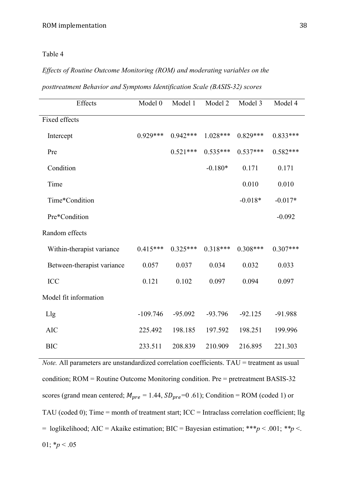# Table 4

# *Effects of Routine Outcome Monitoring (ROM) and moderating variables on the*

| posttreatment Behavior and Symptoms Identification Scale (BASIS-32) scores |  |  |  |  |
|----------------------------------------------------------------------------|--|--|--|--|
|                                                                            |  |  |  |  |

| Effects                    | Model 0    | Model 1    | Model 2    | Model 3    | Model 4    |
|----------------------------|------------|------------|------------|------------|------------|
| Fixed effects              |            |            |            |            |            |
| Intercept                  | $0.929***$ | $0.942***$ | $1.028***$ | $0.829***$ | $0.833***$ |
| Pre                        |            | $0.521***$ | $0.535***$ | $0.537***$ | $0.582***$ |
| Condition                  |            |            | $-0.180*$  | 0.171      | 0.171      |
| Time                       |            |            |            | 0.010      | 0.010      |
| Time*Condition             |            |            |            | $-0.018*$  | $-0.017*$  |
| Pre*Condition              |            |            |            |            | $-0.092$   |
| Random effects             |            |            |            |            |            |
| Within-therapist variance  | $0.415***$ | $0.325***$ | $0.318***$ | $0.308***$ | $0.307***$ |
| Between-therapist variance | 0.057      | 0.037      | 0.034      | 0.032      | 0.033      |
| <b>ICC</b>                 | 0.121      | 0.102      | 0.097      | 0.094      | 0.097      |
| Model fit information      |            |            |            |            |            |
| Llg                        | $-109.746$ | $-95.092$  | $-93.796$  | $-92.125$  | -91.988    |
| <b>AIC</b>                 | 225.492    | 198.185    | 197.592    | 198.251    | 199.996    |
| <b>BIC</b>                 | 233.511    | 208.839    | 210.909    | 216.895    | 221.303    |

*Note.* All parameters are unstandardized correlation coefficients. TAU = treatment as usual condition; ROM = Routine Outcome Monitoring condition. Pre = pretreatment BASIS-32 scores (grand mean centered;  $M_{pre} = 1.44$ ,  $SD_{pre} = 0.61$ ); Condition = ROM (coded 1) or TAU (coded 0); Time = month of treatment start; ICC = Intraclass correlation coefficient; llg  $=$  loglikelihood; AIC = Akaike estimation; BIC = Bayesian estimation; \*\*\**p* < .001; \*\**p* <. 01;  $*_{p}$  < .05